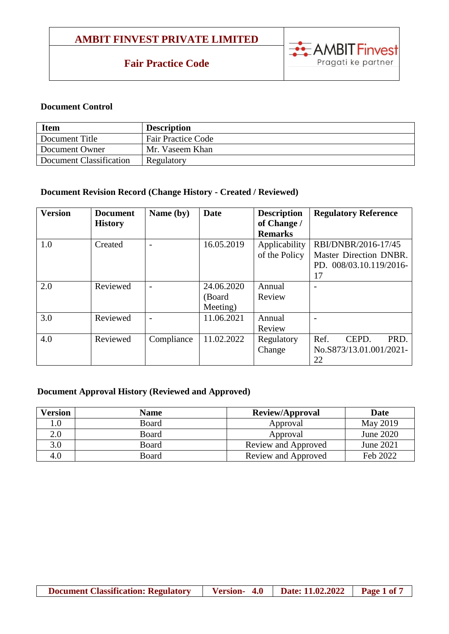## **Fair Practice Code**



#### **Document Control**

| <b>Item</b>             | <b>Description</b>        |
|-------------------------|---------------------------|
| Document Title          | <b>Fair Practice Code</b> |
| Document Owner          | Mr. Vaseem Khan           |
| Document Classification | Regulatory                |

## **Document Revision Record (Change History - Created / Reviewed)**

| <b>Version</b> | <b>Document</b><br><b>History</b> | Name (by)  | Date                              | <b>Description</b><br>of Change /<br><b>Remarks</b> | <b>Regulatory Reference</b>                                                    |
|----------------|-----------------------------------|------------|-----------------------------------|-----------------------------------------------------|--------------------------------------------------------------------------------|
| 1.0            | Created                           |            | 16.05.2019                        | Applicability<br>of the Policy                      | RBI/DNBR/2016-17/45<br>Master Direction DNBR.<br>PD. 008/03.10.119/2016-<br>17 |
| 2.0            | Reviewed                          |            | 24.06.2020<br>(Board)<br>Meeting) | Annual<br>Review                                    |                                                                                |
| 3.0            | Reviewed                          |            | 11.06.2021                        | Annual<br>Review                                    |                                                                                |
| 4.0            | Reviewed                          | Compliance | 11.02.2022                        | Regulatory<br>Change                                | Ref.<br>CEPD.<br>PRD.<br>No.S873/13.01.001/2021-<br>22                         |

### **Document Approval History (Reviewed and Approved)**

| <b>Version</b> | <b>Name</b>  | <b>Review/Approval</b> | <b>Date</b> |
|----------------|--------------|------------------------|-------------|
| 0.1            | <b>Board</b> | Approval               | May 2019    |
| 2.0            | Board        | Approval               | June 2020   |
| 3.0            | Board        | Review and Approved    | June 2021   |
| 4.0            | Board        | Review and Approved    | Feb 2022    |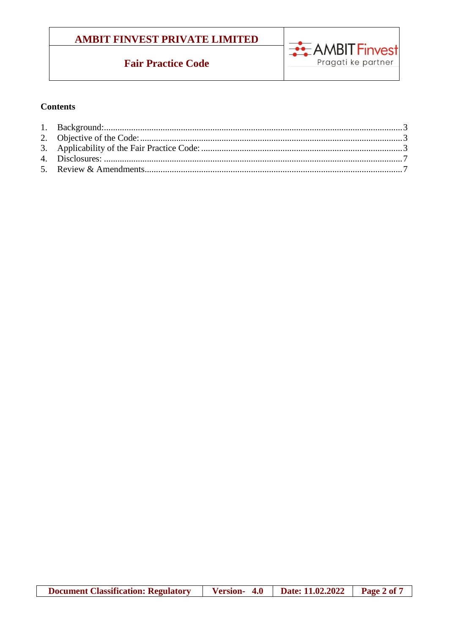# **Fair Practice Code**



### **Contents**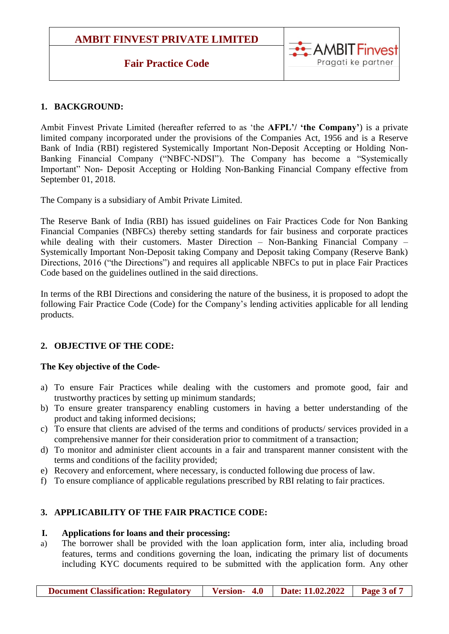## **Fair Practice Code**



## <span id="page-2-0"></span>**1. BACKGROUND:**

Ambit Finvest Private Limited (hereafter referred to as 'the **AFPL'/ 'the Company'**) is a private limited company incorporated under the provisions of the Companies Act, 1956 and is a Reserve Bank of India (RBI) registered Systemically Important Non-Deposit Accepting or Holding Non-Banking Financial Company ("NBFC-NDSI"). The Company has become a "Systemically Important" Non- Deposit Accepting or Holding Non-Banking Financial Company effective from September 01, 2018.

The Company is a subsidiary of Ambit Private Limited.

The Reserve Bank of India (RBI) has issued guidelines on Fair Practices Code for Non Banking Financial Companies (NBFCs) thereby setting standards for fair business and corporate practices while dealing with their customers. Master Direction – Non-Banking Financial Company – Systemically Important Non-Deposit taking Company and Deposit taking Company (Reserve Bank) Directions, 2016 ("the Directions") and requires all applicable NBFCs to put in place Fair Practices Code based on the guidelines outlined in the said directions.

In terms of the RBI Directions and considering the nature of the business, it is proposed to adopt the following Fair Practice Code (Code) for the Company's lending activities applicable for all lending products.

## <span id="page-2-1"></span>**2. OBJECTIVE OF THE CODE:**

### **The Key objective of the Code-**

- a) To ensure Fair Practices while dealing with the customers and promote good, fair and trustworthy practices by setting up minimum standards;
- b) To ensure greater transparency enabling customers in having a better understanding of the product and taking informed decisions;
- c) To ensure that clients are advised of the terms and conditions of products/ services provided in a comprehensive manner for their consideration prior to commitment of a transaction;
- d) To monitor and administer client accounts in a fair and transparent manner consistent with the terms and conditions of the facility provided;
- e) Recovery and enforcement, where necessary, is conducted following due process of law.
- f) To ensure compliance of applicable regulations prescribed by RBI relating to fair practices.

## <span id="page-2-2"></span>**3. APPLICABILITY OF THE FAIR PRACTICE CODE:**

### **I. Applications for loans and their processing:**

a) The borrower shall be provided with the loan application form, inter alia, including broad features, terms and conditions governing the loan, indicating the primary list of documents including KYC documents required to be submitted with the application form. Any other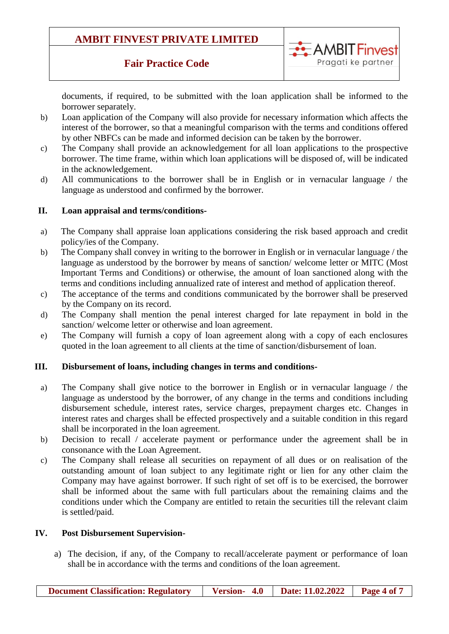## **Fair Practice Code**



documents, if required, to be submitted with the loan application shall be informed to the borrower separately.

- b) Loan application of the Company will also provide for necessary information which affects the interest of the borrower, so that a meaningful comparison with the terms and conditions offered by other NBFCs can be made and informed decision can be taken by the borrower.
- c) The Company shall provide an acknowledgement for all loan applications to the prospective borrower. The time frame, within which loan applications will be disposed of, will be indicated in the acknowledgement.
- d) All communications to the borrower shall be in English or in vernacular language / the language as understood and confirmed by the borrower.

#### **II. Loan appraisal and terms/conditions-**

- a) The Company shall appraise loan applications considering the risk based approach and credit policy/ies of the Company.
- b) The Company shall convey in writing to the borrower in English or in vernacular language / the language as understood by the borrower by means of sanction/ welcome letter or MITC (Most Important Terms and Conditions) or otherwise, the amount of loan sanctioned along with the terms and conditions including annualized rate of interest and method of application thereof.
- c) The acceptance of the terms and conditions communicated by the borrower shall be preserved by the Company on its record.
- d) The Company shall mention the penal interest charged for late repayment in bold in the sanction/ welcome letter or otherwise and loan agreement.
- e) The Company will furnish a copy of loan agreement along with a copy of each enclosures quoted in the loan agreement to all clients at the time of sanction/disbursement of loan.

#### **III. Disbursement of loans, including changes in terms and conditions-**

- a) The Company shall give notice to the borrower in English or in vernacular language / the language as understood by the borrower, of any change in the terms and conditions including disbursement schedule, interest rates, service charges, prepayment charges etc. Changes in interest rates and charges shall be effected prospectively and a suitable condition in this regard shall be incorporated in the loan agreement.
- b) Decision to recall / accelerate payment or performance under the agreement shall be in consonance with the Loan Agreement.
- c) The Company shall release all securities on repayment of all dues or on realisation of the outstanding amount of loan subject to any legitimate right or lien for any other claim the Company may have against borrower. If such right of set off is to be exercised, the borrower shall be informed about the same with full particulars about the remaining claims and the conditions under which the Company are entitled to retain the securities till the relevant claim is settled/paid.

#### **IV. Post Disbursement Supervision-**

a) The decision, if any, of the Company to recall/accelerate payment or performance of loan shall be in accordance with the terms and conditions of the loan agreement.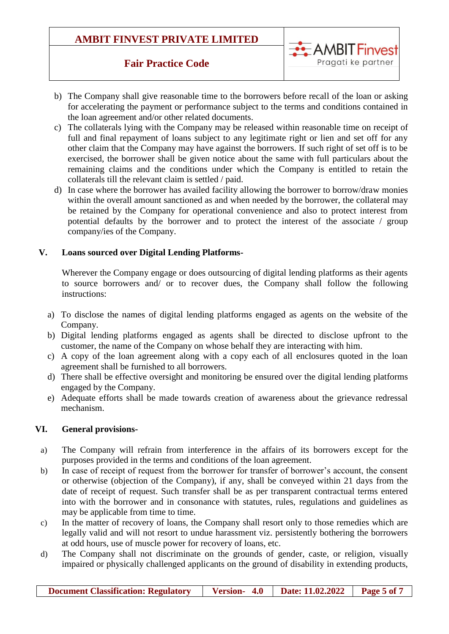## **Fair Practice Code**



- b) The Company shall give reasonable time to the borrowers before recall of the loan or asking for accelerating the payment or performance subject to the terms and conditions contained in the loan agreement and/or other related documents.
- c) The collaterals lying with the Company may be released within reasonable time on receipt of full and final repayment of loans subject to any legitimate right or lien and set off for any other claim that the Company may have against the borrowers. If such right of set off is to be exercised, the borrower shall be given notice about the same with full particulars about the remaining claims and the conditions under which the Company is entitled to retain the collaterals till the relevant claim is settled / paid.
- d) In case where the borrower has availed facility allowing the borrower to borrow/draw monies within the overall amount sanctioned as and when needed by the borrower, the collateral may be retained by the Company for operational convenience and also to protect interest from potential defaults by the borrower and to protect the interest of the associate / group company/ies of the Company.

#### **V. Loans sourced over Digital Lending Platforms-**

Wherever the Company engage or does outsourcing of digital lending platforms as their agents to source borrowers and/ or to recover dues, the Company shall follow the following instructions:

- a) To disclose the names of digital lending platforms engaged as agents on the website of the Company.
- b) Digital lending platforms engaged as agents shall be directed to disclose upfront to the customer, the name of the Company on whose behalf they are interacting with him.
- c) A copy of the loan agreement along with a copy each of all enclosures quoted in the loan agreement shall be furnished to all borrowers.
- d) There shall be effective oversight and monitoring be ensured over the digital lending platforms engaged by the Company.
- e) Adequate efforts shall be made towards creation of awareness about the grievance redressal mechanism.

### **VI. General provisions-**

- a) The Company will refrain from interference in the affairs of its borrowers except for the purposes provided in the terms and conditions of the loan agreement.
- b) In case of receipt of request from the borrower for transfer of borrower's account, the consent or otherwise (objection of the Company), if any, shall be conveyed within 21 days from the date of receipt of request. Such transfer shall be as per transparent contractual terms entered into with the borrower and in consonance with statutes, rules, regulations and guidelines as may be applicable from time to time.
- c) In the matter of recovery of loans, the Company shall resort only to those remedies which are legally valid and will not resort to undue harassment viz. persistently bothering the borrowers at odd hours, use of muscle power for recovery of loans, etc.
- d) The Company shall not discriminate on the grounds of gender, caste, or religion, visually impaired or physically challenged applicants on the ground of disability in extending products,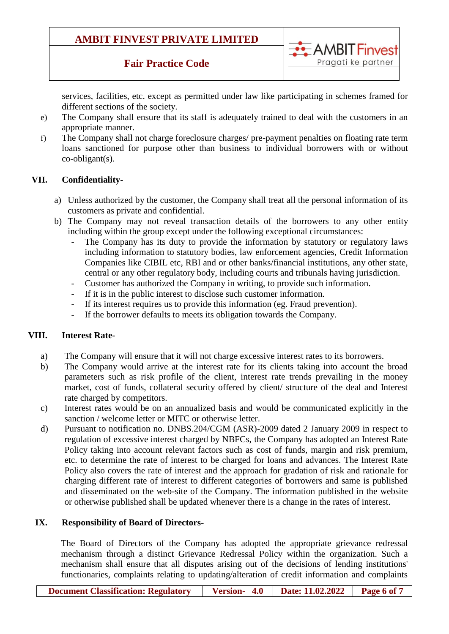## **Fair Practice Code**



services, facilities, etc. except as permitted under law like participating in schemes framed for different sections of the society.

- e) The Company shall ensure that its staff is adequately trained to deal with the customers in an appropriate manner.
- f) The Company shall not charge foreclosure charges/ pre-payment penalties on floating rate term loans sanctioned for purpose other than business to individual borrowers with or without co-obligant(s).

### **VII. Confidentiality-**

- a) Unless authorized by the customer, the Company shall treat all the personal information of its customers as private and confidential.
- b) The Company may not reveal transaction details of the borrowers to any other entity including within the group except under the following exceptional circumstances:
	- The Company has its duty to provide the information by statutory or regulatory laws including information to statutory bodies, law enforcement agencies, Credit Information Companies like CIBIL etc, RBI and or other banks/financial institutions, any other state, central or any other regulatory body, including courts and tribunals having jurisdiction.
	- Customer has authorized the Company in writing, to provide such information.
	- If it is in the public interest to disclose such customer information.
	- If its interest requires us to provide this information (eg. Fraud prevention).
	- If the borrower defaults to meets its obligation towards the Company.

#### **VIII. Interest Rate-**

- a) The Company will ensure that it will not charge excessive interest rates to its borrowers.
- b) The Company would arrive at the interest rate for its clients taking into account the broad parameters such as risk profile of the client, interest rate trends prevailing in the money market, cost of funds, collateral security offered by client/ structure of the deal and Interest rate charged by competitors.
- c) Interest rates would be on an annualized basis and would be communicated explicitly in the sanction / welcome letter or MITC or otherwise letter.
- d) Pursuant to notification no. DNBS.204/CGM (ASR)-2009 dated 2 January 2009 in respect to regulation of excessive interest charged by NBFCs, the Company has adopted an Interest Rate Policy taking into account relevant factors such as cost of funds, margin and risk premium, etc. to determine the rate of interest to be charged for loans and advances. The Interest Rate Policy also covers the rate of interest and the approach for gradation of risk and rationale for charging different rate of interest to different categories of borrowers and same is published and disseminated on the web-site of the Company. The information published in the website or otherwise published shall be updated whenever there is a change in the rates of interest.

### **IX. Responsibility of Board of Directors-**

The Board of Directors of the Company has adopted the appropriate grievance redressal mechanism through a distinct Grievance Redressal Policy within the organization. Such a mechanism shall ensure that all disputes arising out of the decisions of lending institutions' functionaries, complaints relating to updating/alteration of credit information and complaints

**Document Classification: Regulatory | Version- 4.0 | Date: 11.02.2022 | Page 6 of 7**